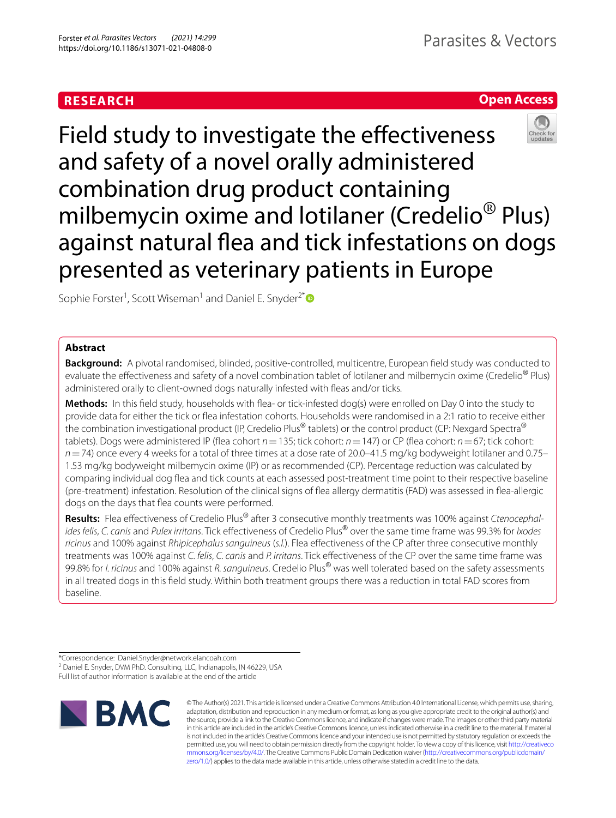# **RESEARCH**

# **Open Access**



Field study to investigate the effectiveness and safety of a novel orally administered combination drug product containing milbemycin oxime and lotilaner (Credelio® Plus) against natural flea and tick infestations on dogs presented as veterinary patients in Europe

Sophie Forster<sup>1</sup>, Scott Wiseman<sup>1</sup> and Daniel E. Snyder<sup>2[\\*](http://orcid.org/0000-0002-4091-6297)</sup>

# **Abstract**

**Background:** A pivotal randomised, blinded, positive-controlled, multicentre, European feld study was conducted to evaluate the effectiveness and safety of a novel combination tablet of lotilaner and milbemycin oxime (Credelio<sup>®</sup> Plus) administered orally to client-owned dogs naturally infested with feas and/or ticks.

**Methods:** In this feld study, households with fea- or tick-infested dog(s) were enrolled on Day 0 into the study to provide data for either the tick or fea infestation cohorts. Households were randomised in a 2:1 ratio to receive either the combination investigational product (IP, Credelio Plus<sup>®</sup> tablets) or the control product (CP: Nexgard Spectra<sup>®</sup> tablets). Dogs were administered IP (fea cohort *n*=135; tick cohort: *n*=147) or CP (fea cohort: *n*=67; tick cohort: *n*=74) once every 4 weeks for a total of three times at a dose rate of 20.0–41.5 mg/kg bodyweight lotilaner and 0.75– 1.53 mg/kg bodyweight milbemycin oxime (IP) or as recommended (CP). Percentage reduction was calculated by comparing individual dog fea and tick counts at each assessed post-treatment time point to their respective baseline (pre-treatment) infestation. Resolution of the clinical signs of fea allergy dermatitis (FAD) was assessed in fea-allergic dogs on the days that fea counts were performed.

**Results:** Flea efectiveness of Credelio Plus® after 3 consecutive monthly treatments was 100% against *Ctenocephalides felis*, *C. canis* and *Pulex irritans*. Tick efectiveness of Credelio Plus® over the same time frame was 99.3% for *Ixodes ricinus* and 100% against *Rhipicephalus sanguineus* (*s.l.*). Flea efectiveness of the CP after three consecutive monthly treatments was 100% against *C. felis*, *C. canis* and *P. irritans*. Tick efectiveness of the CP over the same time frame was 99.8% for *I. ricinus* and 100% against *R. sanguineus*. Credelio Plus® was well tolerated based on the safety assessments in all treated dogs in this feld study. Within both treatment groups there was a reduction in total FAD scores from baseline.

Full list of author information is available at the end of the article



© The Author(s) 2021. This article is licensed under a Creative Commons Attribution 4.0 International License, which permits use, sharing, adaptation, distribution and reproduction in any medium or format, as long as you give appropriate credit to the original author(s) and the source, provide a link to the Creative Commons licence, and indicate if changes were made. The images or other third party material in this article are included in the article's Creative Commons licence, unless indicated otherwise in a credit line to the material. If material is not included in the article's Creative Commons licence and your intended use is not permitted by statutory regulation or exceeds the permitted use, you will need to obtain permission directly from the copyright holder. To view a copy of this licence, visit [http://creativeco](http://creativecommons.org/licenses/by/4.0/) [mmons.org/licenses/by/4.0/.](http://creativecommons.org/licenses/by/4.0/) The Creative Commons Public Domain Dedication waiver ([http://creativecommons.org/publicdomain/](http://creativecommons.org/publicdomain/zero/1.0/) [zero/1.0/\)](http://creativecommons.org/publicdomain/zero/1.0/) applies to the data made available in this article, unless otherwise stated in a credit line to the data.

<sup>\*</sup>Correspondence: Daniel.Snyder@network.elancoah.com

<sup>&</sup>lt;sup>2</sup> Daniel E. Snyder, DVM PhD. Consulting, LLC, Indianapolis, IN 46229, USA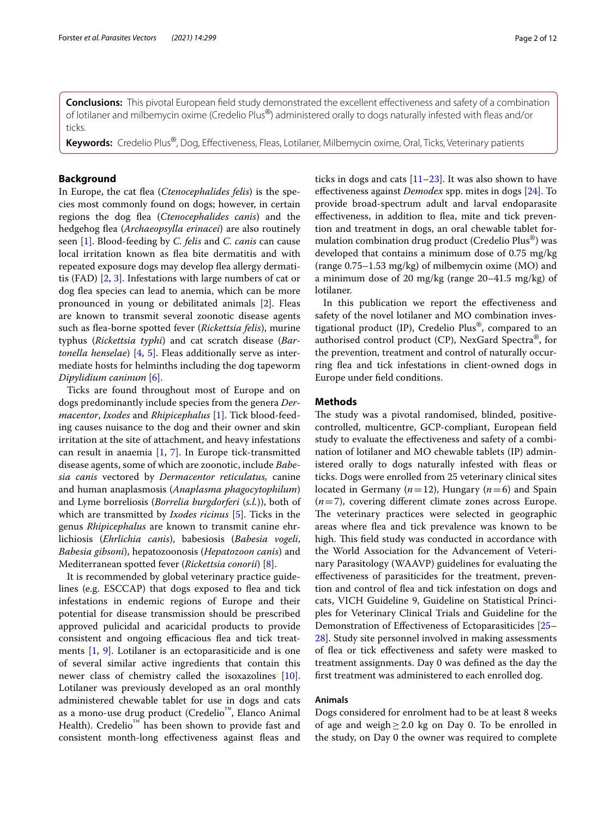**Conclusions:** This pivotal European feld study demonstrated the excellent efectiveness and safety of a combination of lotilaner and milbemycin oxime (Credelio Plus®) administered orally to dogs naturally infested with feas and/or ticks.

**Keywords:** Credelio Plus®, Dog, Efectiveness, Fleas, Lotilaner, Milbemycin oxime, Oral, Ticks, Veterinary patients

# **Background**

In Europe, the cat flea (*Ctenocephalides felis*) is the species most commonly found on dogs; however, in certain regions the dog fea (*Ctenocephalides canis*) and the hedgehog fea (*Archaeopsylla erinacei*) are also routinely seen [[1\]](#page-10-0). Blood-feeding by *C. felis* and *C. canis* can cause local irritation known as fea bite dermatitis and with repeated exposure dogs may develop fea allergy dermatitis (FAD) [\[2](#page-10-1), [3](#page-10-2)]. Infestations with large numbers of cat or dog flea species can lead to anemia, which can be more pronounced in young or debilitated animals [[2\]](#page-10-1). Fleas are known to transmit several zoonotic disease agents such as fea-borne spotted fever (*Rickettsia felis*), murine typhus (*Rickettsia typhi*) and cat scratch disease (*Bartonella henselae*) [\[4](#page-10-3), [5\]](#page-10-4). Fleas additionally serve as intermediate hosts for helminths including the dog tapeworm *Dipylidium caninum* [\[6\]](#page-10-5).

Ticks are found throughout most of Europe and on dogs predominantly include species from the genera *Dermacentor*, *Ixodes* and *Rhipicephalus* [\[1](#page-10-0)]. Tick blood-feeding causes nuisance to the dog and their owner and skin irritation at the site of attachment, and heavy infestations can result in anaemia [\[1](#page-10-0), [7\]](#page-10-6). In Europe tick-transmitted disease agents, some of which are zoonotic, include *Babesia canis* vectored by *Dermacentor reticulatus,* canine and human anaplasmosis (*Anaplasma phagocytophilum*) and Lyme borreliosis (*Borrelia burgdorferi* (*s.l.*)), both of which are transmitted by *Ixodes ricinus* [[5\]](#page-10-4). Ticks in the genus *Rhipicephalus* are known to transmit canine ehrlichiosis (*Ehrlichia canis*), babesiosis (*Babesia vogeli*, *Babesia gibsoni*), hepatozoonosis (*Hepatozoon canis*) and Mediterranean spotted fever (*Rickettsia conorii*) [\[8](#page-10-7)].

It is recommended by global veterinary practice guidelines (e.g. ESCCAP) that dogs exposed to flea and tick infestations in endemic regions of Europe and their potential for disease transmission should be prescribed approved pulicidal and acaricidal products to provide consistent and ongoing efficacious flea and tick treatments [[1,](#page-10-0) [9](#page-10-8)]. Lotilaner is an ectoparasiticide and is one of several similar active ingredients that contain this newer class of chemistry called the isoxazolines [\[10](#page-10-9)]. Lotilaner was previously developed as an oral monthly administered chewable tablet for use in dogs and cats as a mono-use drug product (Credelio™, Elanco Animal Health). Credelio<sup>™</sup> has been shown to provide fast and consistent month-long efectiveness against feas and ticks in dogs and cats  $[11–23]$  $[11–23]$ . It was also shown to have efectiveness against *Demodex* spp. mites in dogs [\[24\]](#page-10-12). To provide broad-spectrum adult and larval endoparasite effectiveness, in addition to flea, mite and tick prevention and treatment in dogs, an oral chewable tablet formulation combination drug product (Credelio Plus®) was developed that contains a minimum dose of 0.75 mg/kg (range 0.75–1.53 mg/kg) of milbemycin oxime (MO) and a minimum dose of 20 mg/kg (range 20–41.5 mg/kg) of lotilaner.

In this publication we report the efectiveness and safety of the novel lotilaner and MO combination investigational product (IP), Credelio Plus<sup>®</sup>, compared to an authorised control product (CP), NexGard Spectra®, for the prevention, treatment and control of naturally occurring fea and tick infestations in client-owned dogs in Europe under feld conditions.

# **Methods**

The study was a pivotal randomised, blinded, positivecontrolled, multicentre, GCP-compliant, European feld study to evaluate the efectiveness and safety of a combination of lotilaner and MO chewable tablets (IP) administered orally to dogs naturally infested with feas or ticks. Dogs were enrolled from 25 veterinary clinical sites located in Germany (*n*=12), Hungary (*n*=6) and Spain (*n*=7), covering diferent climate zones across Europe. The veterinary practices were selected in geographic areas where fea and tick prevalence was known to be high. This field study was conducted in accordance with the World Association for the Advancement of Veterinary Parasitology (WAAVP) guidelines for evaluating the efectiveness of parasiticides for the treatment, prevention and control of fea and tick infestation on dogs and cats, VICH Guideline 9, Guideline on Statistical Principles for Veterinary Clinical Trials and Guideline for the Demonstration of Efectiveness of Ectoparasiticides [[25–](#page-11-0) [28\]](#page-11-1). Study site personnel involved in making assessments of fea or tick efectiveness and safety were masked to treatment assignments. Day 0 was defned as the day the frst treatment was administered to each enrolled dog.

# **Animals**

Dogs considered for enrolment had to be at least 8 weeks of age and weigh  $\geq 2.0$  kg on Day 0. To be enrolled in the study, on Day 0 the owner was required to complete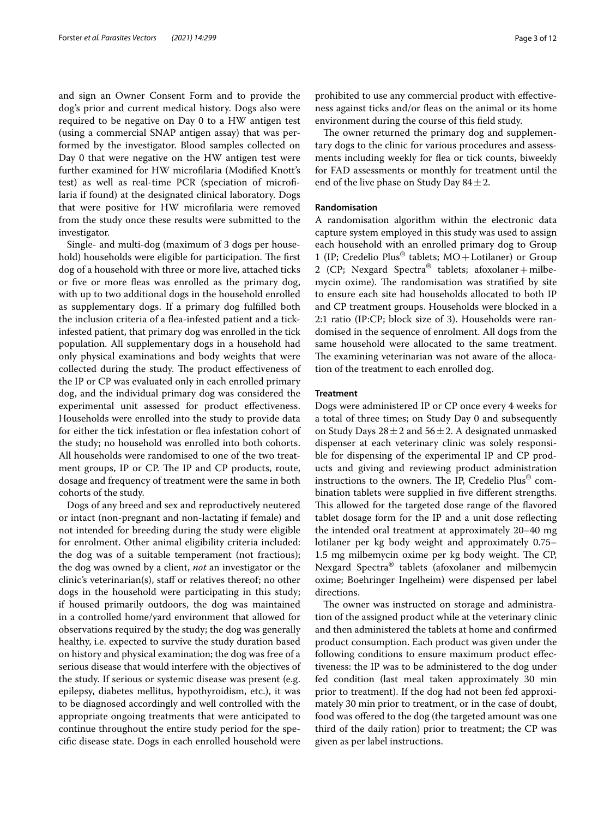and sign an Owner Consent Form and to provide the dog's prior and current medical history. Dogs also were required to be negative on Day 0 to a HW antigen test (using a commercial SNAP antigen assay) that was performed by the investigator. Blood samples collected on Day 0 that were negative on the HW antigen test were further examined for HW microflaria (Modifed Knott's test) as well as real-time PCR (speciation of microflaria if found) at the designated clinical laboratory. Dogs that were positive for HW microflaria were removed from the study once these results were submitted to the investigator.

Single- and multi-dog (maximum of 3 dogs per household) households were eligible for participation. The first dog of a household with three or more live, attached ticks or five or more fleas was enrolled as the primary dog, with up to two additional dogs in the household enrolled as supplementary dogs. If a primary dog fulflled both the inclusion criteria of a flea-infested patient and a tickinfested patient, that primary dog was enrolled in the tick population. All supplementary dogs in a household had only physical examinations and body weights that were collected during the study. The product effectiveness of the IP or CP was evaluated only in each enrolled primary dog, and the individual primary dog was considered the experimental unit assessed for product efectiveness. Households were enrolled into the study to provide data for either the tick infestation or fea infestation cohort of the study; no household was enrolled into both cohorts. All households were randomised to one of the two treatment groups, IP or CP. The IP and CP products, route, dosage and frequency of treatment were the same in both cohorts of the study.

Dogs of any breed and sex and reproductively neutered or intact (non-pregnant and non-lactating if female) and not intended for breeding during the study were eligible for enrolment. Other animal eligibility criteria included: the dog was of a suitable temperament (not fractious); the dog was owned by a client, *not* an investigator or the clinic's veterinarian(s), staf or relatives thereof; no other dogs in the household were participating in this study; if housed primarily outdoors, the dog was maintained in a controlled home/yard environment that allowed for observations required by the study; the dog was generally healthy, i.e. expected to survive the study duration based on history and physical examination; the dog was free of a serious disease that would interfere with the objectives of the study. If serious or systemic disease was present (e.g. epilepsy, diabetes mellitus, hypothyroidism, etc.), it was to be diagnosed accordingly and well controlled with the appropriate ongoing treatments that were anticipated to continue throughout the entire study period for the specifc disease state. Dogs in each enrolled household were prohibited to use any commercial product with efectiveness against ticks and/or fleas on the animal or its home environment during the course of this feld study.

The owner returned the primary dog and supplementary dogs to the clinic for various procedures and assessments including weekly for flea or tick counts, biweekly for FAD assessments or monthly for treatment until the end of the live phase on Study Day  $84 \pm 2$ .

## **Randomisation**

A randomisation algorithm within the electronic data capture system employed in this study was used to assign each household with an enrolled primary dog to Group 1 (IP; Credelio Plus<sup>®</sup> tablets;  $MO +$ Lotilaner) or Group 2 (CP; Nexgard Spectra® tablets; afoxolaner + milbemycin oxime). The randomisation was stratified by site to ensure each site had households allocated to both IP and CP treatment groups. Households were blocked in a 2:1 ratio (IP:CP; block size of 3). Households were randomised in the sequence of enrolment. All dogs from the same household were allocated to the same treatment. The examining veterinarian was not aware of the allocation of the treatment to each enrolled dog.

#### **Treatment**

Dogs were administered IP or CP once every 4 weeks for a total of three times; on Study Day 0 and subsequently on Study Days  $28 \pm 2$  and  $56 \pm 2$ . A designated unmasked dispenser at each veterinary clinic was solely responsible for dispensing of the experimental IP and CP products and giving and reviewing product administration instructions to the owners. The IP, Credelio Plus® combination tablets were supplied in fve diferent strengths. This allowed for the targeted dose range of the flavored tablet dosage form for the IP and a unit dose refecting the intended oral treatment at approximately 20–40 mg lotilaner per kg body weight and approximately 0.75– 1.5 mg milbemycin oxime per kg body weight. The CP, Nexgard Spectra® tablets (afoxolaner and milbemycin oxime; Boehringer Ingelheim) were dispensed per label directions.

The owner was instructed on storage and administration of the assigned product while at the veterinary clinic and then administered the tablets at home and confrmed product consumption. Each product was given under the following conditions to ensure maximum product efectiveness: the IP was to be administered to the dog under fed condition (last meal taken approximately 30 min prior to treatment). If the dog had not been fed approximately 30 min prior to treatment, or in the case of doubt, food was ofered to the dog (the targeted amount was one third of the daily ration) prior to treatment; the CP was given as per label instructions.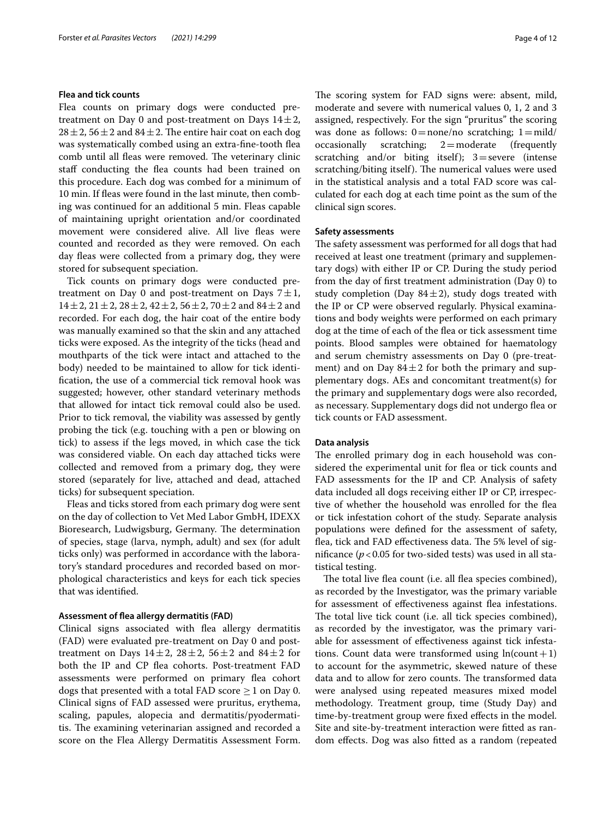#### **Flea and tick counts**

Flea counts on primary dogs were conducted pretreatment on Day 0 and post-treatment on Days  $14\pm2$ ,  $28 \pm 2$ ,  $56 \pm 2$  and  $84 \pm 2$ . The entire hair coat on each dog was systematically combed using an extra-fne-tooth fea comb until all fleas were removed. The veterinary clinic staf conducting the fea counts had been trained on this procedure. Each dog was combed for a minimum of 10 min. If feas were found in the last minute, then combing was continued for an additional 5 min. Fleas capable of maintaining upright orientation and/or coordinated movement were considered alive. All live fleas were counted and recorded as they were removed. On each day fleas were collected from a primary dog, they were stored for subsequent speciation.

Tick counts on primary dogs were conducted pretreatment on Day 0 and post-treatment on Days  $7 \pm 1$ ,  $14\pm2,$   $21\pm2,$   $28\pm2,$   $42\pm2,$   $56\pm2,$   $70\pm2$  and  $84\pm2$  and recorded. For each dog, the hair coat of the entire body was manually examined so that the skin and any attached ticks were exposed. As the integrity of the ticks (head and mouthparts of the tick were intact and attached to the body) needed to be maintained to allow for tick identifcation, the use of a commercial tick removal hook was suggested; however, other standard veterinary methods that allowed for intact tick removal could also be used. Prior to tick removal, the viability was assessed by gently probing the tick (e.g. touching with a pen or blowing on tick) to assess if the legs moved, in which case the tick was considered viable. On each day attached ticks were collected and removed from a primary dog, they were stored (separately for live, attached and dead, attached ticks) for subsequent speciation.

Fleas and ticks stored from each primary dog were sent on the day of collection to Vet Med Labor GmbH, IDEXX Bioresearch, Ludwigsburg, Germany. The determination of species, stage (larva, nymph, adult) and sex (for adult ticks only) was performed in accordance with the laboratory's standard procedures and recorded based on morphological characteristics and keys for each tick species that was identifed.

## **Assessment of fea allergy dermatitis (FAD)**

Clinical signs associated with fea allergy dermatitis (FAD) were evaluated pre-treatment on Day 0 and posttreatment on Days  $14\pm2$ ,  $28\pm2$ ,  $56\pm2$  and  $84\pm2$  for both the IP and CP flea cohorts. Post-treatment FAD assessments were performed on primary fea cohort dogs that presented with a total FAD score  $\geq 1$  on Day 0. Clinical signs of FAD assessed were pruritus, erythema, scaling, papules, alopecia and dermatitis/pyodermatitis. The examining veterinarian assigned and recorded a score on the Flea Allergy Dermatitis Assessment Form. The scoring system for FAD signs were: absent, mild, moderate and severe with numerical values 0, 1, 2 and 3 assigned, respectively. For the sign "pruritus" the scoring was done as follows:  $0 = none/no$  scratching;  $1 = mild/$  occasionally scratching;  $2 = moderate$  (frequently  $2$ =moderate scratching and/or biting itself);  $3 =$  severe (intense scratching/biting itself). The numerical values were used in the statistical analysis and a total FAD score was calculated for each dog at each time point as the sum of the clinical sign scores.

## **Safety assessments**

The safety assessment was performed for all dogs that had received at least one treatment (primary and supplementary dogs) with either IP or CP. During the study period from the day of frst treatment administration (Day 0) to study completion (Day  $84 \pm 2$ ), study dogs treated with the IP or CP were observed regularly. Physical examinations and body weights were performed on each primary dog at the time of each of the fea or tick assessment time points. Blood samples were obtained for haematology and serum chemistry assessments on Day 0 (pre-treatment) and on Day  $84 \pm 2$  for both the primary and supplementary dogs. AEs and concomitant treatment(s) for the primary and supplementary dogs were also recorded, as necessary. Supplementary dogs did not undergo fea or tick counts or FAD assessment.

### **Data analysis**

The enrolled primary dog in each household was considered the experimental unit for fea or tick counts and FAD assessments for the IP and CP. Analysis of safety data included all dogs receiving either IP or CP, irrespective of whether the household was enrolled for the fea or tick infestation cohort of the study. Separate analysis populations were defned for the assessment of safety, flea, tick and FAD effectiveness data. The 5% level of significance  $(p<0.05$  for two-sided tests) was used in all statistical testing.

The total live flea count (i.e. all flea species combined), as recorded by the Investigator, was the primary variable for assessment of effectiveness against flea infestations. The total live tick count (i.e. all tick species combined), as recorded by the investigator, was the primary variable for assessment of efectiveness against tick infestations. Count data were transformed using  $ln(count+1)$ to account for the asymmetric, skewed nature of these data and to allow for zero counts. The transformed data were analysed using repeated measures mixed model methodology. Treatment group, time (Study Day) and time-by-treatment group were fxed efects in the model. Site and site-by-treatment interaction were ftted as random efects. Dog was also ftted as a random (repeated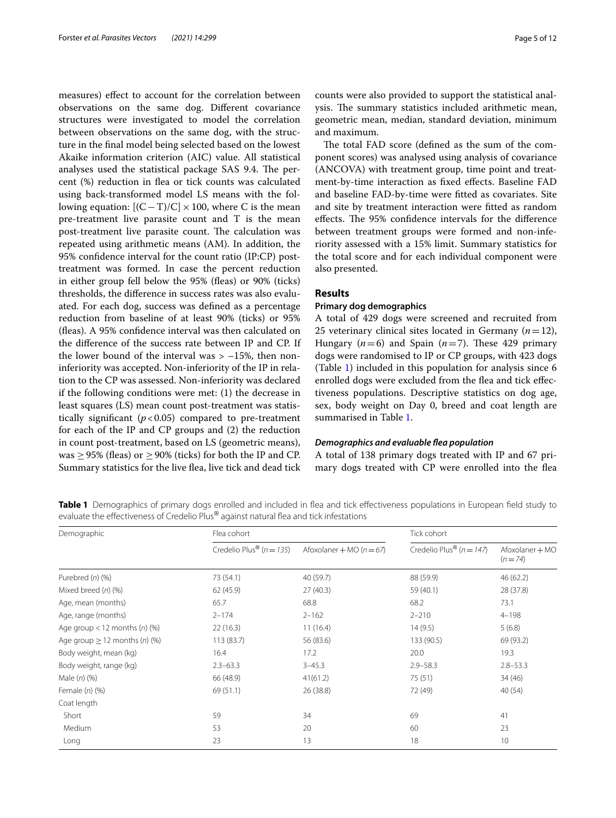measures) effect to account for the correlation between observations on the same dog. Diferent covariance structures were investigated to model the correlation between observations on the same dog, with the structure in the fnal model being selected based on the lowest Akaike information criterion (AIC) value. All statistical analyses used the statistical package SAS 9.4. The percent (%) reduction in fea or tick counts was calculated using back-transformed model LS means with the following equation:  $[(C-T)/C] \times 100$ , where C is the mean pre-treatment live parasite count and T is the mean post-treatment live parasite count. The calculation was repeated using arithmetic means (AM). In addition, the 95% confdence interval for the count ratio (IP:CP) posttreatment was formed. In case the percent reduction in either group fell below the 95% (feas) or 90% (ticks) thresholds, the diference in success rates was also evaluated. For each dog, success was defned as a percentage reduction from baseline of at least 90% (ticks) or 95% (feas). A 95% confdence interval was then calculated on the diference of the success rate between IP and CP. If the lower bound of the interval was  $> -15$ %, then noninferiority was accepted. Non-inferiority of the IP in relation to the CP was assessed. Non-inferiority was declared if the following conditions were met: (1) the decrease in least squares (LS) mean count post-treatment was statistically significant  $(p<0.05)$  compared to pre-treatment for each of the IP and CP groups and (2) the reduction in count post-treatment, based on LS (geometric means), was  $\geq$  95% (fleas) or  $\geq$  90% (ticks) for both the IP and CP. Summary statistics for the live fea, live tick and dead tick counts were also provided to support the statistical analysis. The summary statistics included arithmetic mean, geometric mean, median, standard deviation, minimum and maximum.

The total FAD score (defined as the sum of the component scores) was analysed using analysis of covariance (ANCOVA) with treatment group, time point and treatment-by-time interaction as fxed efects. Baseline FAD and baseline FAD-by-time were ftted as covariates. Site and site by treatment interaction were ftted as random effects. The 95% confidence intervals for the difference between treatment groups were formed and non-inferiority assessed with a 15% limit. Summary statistics for the total score and for each individual component were also presented.

# **Results**

# **Primary dog demographics**

A total of 429 dogs were screened and recruited from 25 veterinary clinical sites located in Germany  $(n=12)$ , Hungary  $(n=6)$  and Spain  $(n=7)$ . These 429 primary dogs were randomised to IP or CP groups, with 423 dogs (Table [1](#page-4-0)) included in this population for analysis since 6 enrolled dogs were excluded from the flea and tick effectiveness populations. Descriptive statistics on dog age, sex, body weight on Day 0, breed and coat length are summarised in Table [1](#page-4-0).

#### *Demographics and evaluable fea population*

A total of 138 primary dogs treated with IP and 67 primary dogs treated with CP were enrolled into the fea

<span id="page-4-0"></span>Table 1 Demographics of primary dogs enrolled and included in flea and tick effectiveness populations in European field study to evaluate the effectiveness of Credelio Plus® against natural flea and tick infestations

| Demographic                                 | Flea cohort                              |                              | Tick cohort                              |                             |  |
|---------------------------------------------|------------------------------------------|------------------------------|------------------------------------------|-----------------------------|--|
|                                             | Credelio Plus <sup>®</sup> ( $n = 135$ ) | Afoxolaner + MO ( $n = 67$ ) | Credelio Plus <sup>®</sup> ( $n = 147$ ) | Afoxolaner + MO<br>$(n=74)$ |  |
| Purebred $(n)$ $(\%)$                       | 73 (54.1)                                | 40 (59.7)                    | 88 (59.9)                                | 46 (62.2)                   |  |
| Mixed breed $(n)$ $(\%)$                    | 62 (45.9)                                | 27(40.3)                     | 59 (40.1)                                | 28 (37.8)                   |  |
| Age, mean (months)                          | 65.7                                     | 68.8                         | 68.2                                     | 73.1                        |  |
| Age, range (months)                         | $2 - 174$                                | $2 - 162$                    | $2 - 210$                                | $4 - 198$                   |  |
| Age group $<$ 12 months (n) (%)             | 22(16.3)                                 | 11(16.4)                     | 14(9.5)                                  | 5(6.8)                      |  |
| Age group $\geq$ 12 months ( <i>n</i> ) (%) | 113 (83.7)                               | 56 (83.6)                    | 133 (90.5)                               | 69 (93.2)                   |  |
| Body weight, mean (kg)                      | 16.4                                     | 17.2                         | 20.0                                     | 19.3                        |  |
| Body weight, range (kg)                     | $2.3 - 63.3$                             | $3 - 45.3$                   | $2.9 - 58.3$                             | $2.8 - 53.3$                |  |
| Male $(n)$ $(\%)$                           | 66 (48.9)                                | 41(61.2)                     | 75 (51)                                  | 34 (46)                     |  |
| Female (n) (%)                              | 69 (51.1)                                | 26 (38.8)                    | 72 (49)                                  | 40(54)                      |  |
| Coat length                                 |                                          |                              |                                          |                             |  |
| Short                                       | 59                                       | 34                           | 69                                       | 41                          |  |
| Medium                                      | 53                                       | 20                           | 60                                       | 23                          |  |
| Long                                        | 23                                       | 13                           | 18                                       | 10                          |  |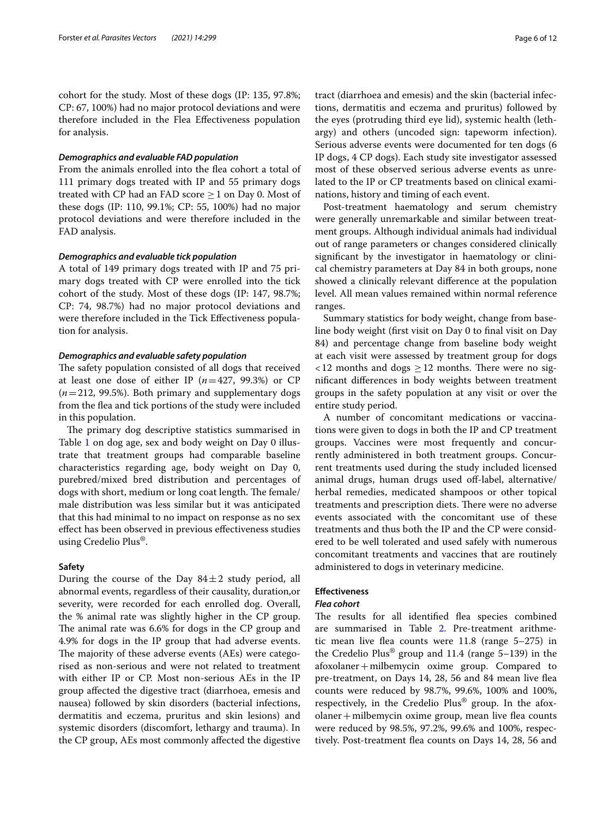cohort for the study. Most of these dogs (IP: 135, 97.8%; CP: 67, 100%) had no major protocol deviations and were therefore included in the Flea Efectiveness population for analysis.

### *Demographics and evaluable FAD population*

From the animals enrolled into the fea cohort a total of 111 primary dogs treated with IP and 55 primary dogs treated with CP had an FAD score  $\geq 1$  on Day 0. Most of these dogs (IP: 110, 99.1%; CP: 55, 100%) had no major protocol deviations and were therefore included in the FAD analysis.

## *Demographics and evaluable tick population*

A total of 149 primary dogs treated with IP and 75 primary dogs treated with CP were enrolled into the tick cohort of the study. Most of these dogs (IP: 147, 98.7%; CP: 74, 98.7%) had no major protocol deviations and were therefore included in the Tick Efectiveness population for analysis.

### *Demographics and evaluable safety population*

The safety population consisted of all dogs that received at least one dose of either IP  $(n=427, 99.3%)$  or CP (*n*=212, 99.5%). Both primary and supplementary dogs from the fea and tick portions of the study were included in this population.

The primary dog descriptive statistics summarised in Table [1](#page-4-0) on dog age, sex and body weight on Day 0 illustrate that treatment groups had comparable baseline characteristics regarding age, body weight on Day 0, purebred/mixed bred distribution and percentages of dogs with short, medium or long coat length. The female/ male distribution was less similar but it was anticipated that this had minimal to no impact on response as no sex efect has been observed in previous efectiveness studies using Credelio Plus®.

#### **Safety**

During the course of the Day  $84 \pm 2$  study period, all abnormal events, regardless of their causality, duration,or severity, were recorded for each enrolled dog. Overall, the % animal rate was slightly higher in the CP group. The animal rate was 6.6% for dogs in the CP group and 4.9% for dogs in the IP group that had adverse events. The majority of these adverse events (AEs) were categorised as non-serious and were not related to treatment with either IP or CP. Most non-serious AEs in the IP group afected the digestive tract (diarrhoea, emesis and nausea) followed by skin disorders (bacterial infections, dermatitis and eczema, pruritus and skin lesions) and systemic disorders (discomfort, lethargy and trauma). In the CP group, AEs most commonly afected the digestive tract (diarrhoea and emesis) and the skin (bacterial infections, dermatitis and eczema and pruritus) followed by the eyes (protruding third eye lid), systemic health (lethargy) and others (uncoded sign: tapeworm infection). Serious adverse events were documented for ten dogs (6 IP dogs, 4 CP dogs). Each study site investigator assessed most of these observed serious adverse events as unrelated to the IP or CP treatments based on clinical examinations, history and timing of each event.

Post-treatment haematology and serum chemistry were generally unremarkable and similar between treatment groups. Although individual animals had individual out of range parameters or changes considered clinically signifcant by the investigator in haematology or clinical chemistry parameters at Day 84 in both groups, none showed a clinically relevant diference at the population level. All mean values remained within normal reference ranges.

Summary statistics for body weight, change from baseline body weight (frst visit on Day 0 to fnal visit on Day 84) and percentage change from baseline body weight at each visit were assessed by treatment group for dogs  $12$  months and dogs  $\geq 12$  months. There were no signifcant diferences in body weights between treatment groups in the safety population at any visit or over the entire study period.

A number of concomitant medications or vaccinations were given to dogs in both the IP and CP treatment groups. Vaccines were most frequently and concurrently administered in both treatment groups. Concurrent treatments used during the study included licensed animal drugs, human drugs used off-label, alternative/ herbal remedies, medicated shampoos or other topical treatments and prescription diets. There were no adverse events associated with the concomitant use of these treatments and thus both the IP and the CP were considered to be well tolerated and used safely with numerous concomitant treatments and vaccines that are routinely administered to dogs in veterinary medicine.

# **Efectiveness**

### *Flea cohort*

The results for all identified flea species combined are summarised in Table [2](#page-6-0). Pre-treatment arithmetic mean live fea counts were 11.8 (range 5–275) in the Credelio Plus<sup>®</sup> group and 11.4 (range  $5-139$ ) in the afoxolaner+milbemycin oxime group. Compared to pre-treatment, on Days 14, 28, 56 and 84 mean live fea counts were reduced by 98.7%, 99.6%, 100% and 100%, respectively, in the Credelio Plus® group. In the afoxolaner+milbemycin oxime group, mean live fea counts were reduced by 98.5%, 97.2%, 99.6% and 100%, respectively. Post-treatment fea counts on Days 14, 28, 56 and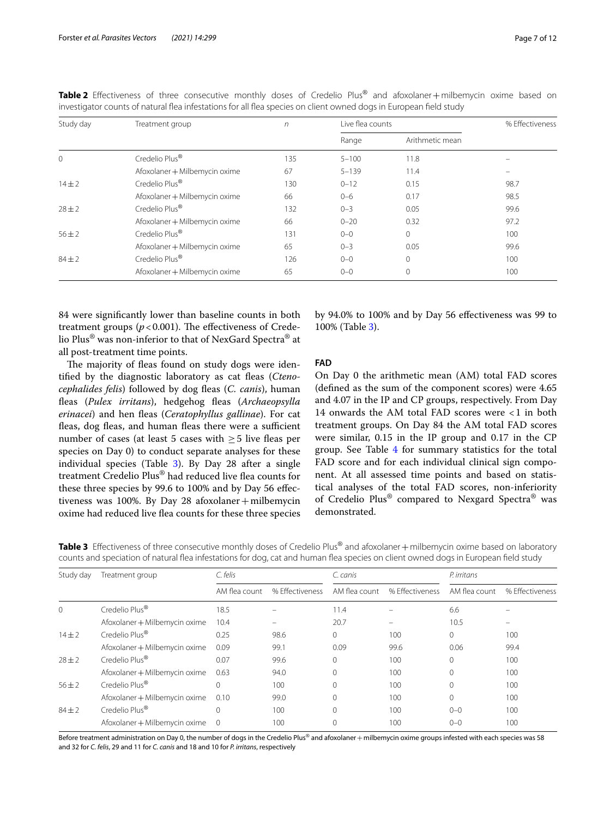| Study day    | Treatment group               | $\sqrt{n}$ | Live flea counts | % Effectiveness |      |
|--------------|-------------------------------|------------|------------------|-----------------|------|
|              |                               |            | Range            | Arithmetic mean |      |
| $\mathbf{0}$ | Credelio Plus <sup>®</sup>    | 135        | $5 - 100$        | 11.8            |      |
|              | Afoxolaner + Milbemycin oxime | 67         | $5 - 139$        | 11.4            |      |
| $14 + 2$     | Credelio Plus <sup>®</sup>    | 130        | $0 - 12$         | 0.15            | 98.7 |
|              | Afoxolaner + Milbemycin oxime | 66         | $0 - 6$          | 0.17            | 98.5 |
| $28 \pm 2$   | Credelio Plus <sup>®</sup>    | 132        | $0 - 3$          | 0.05            | 99.6 |
|              | Afoxolaner + Milbemycin oxime | 66         | $0 - 20$         | 0.32            | 97.2 |
| $56 \pm 2$   | Credelio Plus <sup>®</sup>    | 131        | $0 - 0$          | $\circ$         | 100  |
|              | Afoxolaner + Milbemycin oxime | 65         | $0 - 3$          | 0.05            | 99.6 |
| $84 \pm 2$   | Credelio Plus <sup>®</sup>    | 126        | $0 - 0$          | $\mathbf{0}$    | 100  |
|              | Afoxolaner + Milbemycin oxime | 65         | $0 - 0$          | 0               | 100  |

<span id="page-6-0"></span>**Table <sup>2</sup>** Efectiveness of three consecutive monthly doses of Credelio Plus® and afoxolaner+milbemycin oxime based on investigator counts of natural fea infestations for all fea species on client owned dogs in European feld study

84 were signifcantly lower than baseline counts in both treatment groups  $(p<0.001)$ . The effectiveness of Credelio Plus® was non-inferior to that of NexGard Spectra® at all post-treatment time points.

The majority of fleas found on study dogs were identifed by the diagnostic laboratory as cat feas (*Ctenocephalides felis*) followed by dog fleas (*C. canis*), human fleas (Pulex irritans), hedgehog fleas (Archaeopsylla *erinacei*) and hen feas (*Ceratophyllus gallinae*). For cat fleas, dog fleas, and human fleas there were a sufficient number of cases (at least 5 cases with  $\geq$  5 live fleas per species on Day 0) to conduct separate analyses for these individual species (Table [3](#page-6-1)). By Day 28 after a single treatment Credelio Plus® had reduced live fea counts for these three species by 99.6 to 100% and by Day 56 efectiveness was 100%. By Day 28 afoxolaner + milbemycin oxime had reduced live fea counts for these three species by 94.0% to 100% and by Day 56 efectiveness was 99 to 100% (Table [3](#page-6-1)).

## **FAD**

On Day 0 the arithmetic mean (AM) total FAD scores (defned as the sum of the component scores) were 4.65 and 4.07 in the IP and CP groups, respectively. From Day 14 onwards the AM total FAD scores were <1 in both treatment groups. On Day 84 the AM total FAD scores were similar, 0.15 in the IP group and 0.17 in the CP group. See Table [4](#page-7-0) for summary statistics for the total FAD score and for each individual clinical sign component. At all assessed time points and based on statistical analyses of the total FAD scores, non-inferiority of Credelio Plus® compared to Nexgard Spectra® was demonstrated.

<span id="page-6-1"></span>

| Table 3 Effectiveness of three consecutive monthly doses of Credelio Plus® and afoxolaner + milbemycin oxime based on laboratory    |  |  |
|-------------------------------------------------------------------------------------------------------------------------------------|--|--|
| counts and speciation of natural flea infestations for dog, cat and human flea species on client owned dogs in European field study |  |  |

| Study day  | Treatment group               | C. felis       |                 | C. canis      |                 | P. irritans   |                 |  |
|------------|-------------------------------|----------------|-----------------|---------------|-----------------|---------------|-----------------|--|
|            |                               | AM flea count  | % Effectiveness | AM flea count | % Effectiveness | AM flea count | % Effectiveness |  |
| $\Omega$   | Credelio Plus <sup>®</sup>    | 18.5           |                 | 11.4          |                 | 6.6           |                 |  |
|            | Afoxolaner + Milbemycin oxime | 10.4           |                 | 20.7          |                 | 10.5          |                 |  |
| $14 \pm 2$ | Credelio Plus <sup>®</sup>    | 0.25           | 98.6            | $\Omega$      | 100             | 0             | 100             |  |
|            | Afoxolaner + Milbemycin oxime | 0.09           | 99.1            | 0.09          | 99.6            | 0.06          | 99.4            |  |
| $28 \pm 2$ | Credelio Plus <sup>®</sup>    | 0.07           | 99.6            | 0             | 100             | 0             | 100             |  |
|            | Afoxolaner + Milbemycin oxime | 0.63           | 94.0            | $\Omega$      | 100             | 0             | 100             |  |
| $56 \pm 2$ | Credelio Plus <sup>®</sup>    | $\Omega$       | 100             | $\Omega$      | 100             | 0             | 100             |  |
|            | Afoxolaner + Milbemycin oxime | 0.10           | 99.0            | $\Omega$      | 100             | 0             | 100             |  |
| $84 \pm 2$ | Credelio Plus <sup>®</sup>    | $\Omega$       | 100             | $\Omega$      | 100             | $0 - 0$       | 100             |  |
|            | Afoxolaner + Milbemycin oxime | $\overline{0}$ | 100             | 0             | 100             | $0 - 0$       | 100             |  |
|            |                               |                |                 |               |                 |               |                 |  |

Before treatment administration on Day 0, the number of dogs in the Credelio Plus® and afoxolaner + milbemycin oxime groups infested with each species was 58 and 32 for *C. felis*, 29 and 11 for *C. canis* and 18 and 10 for *P. irritans*, respectively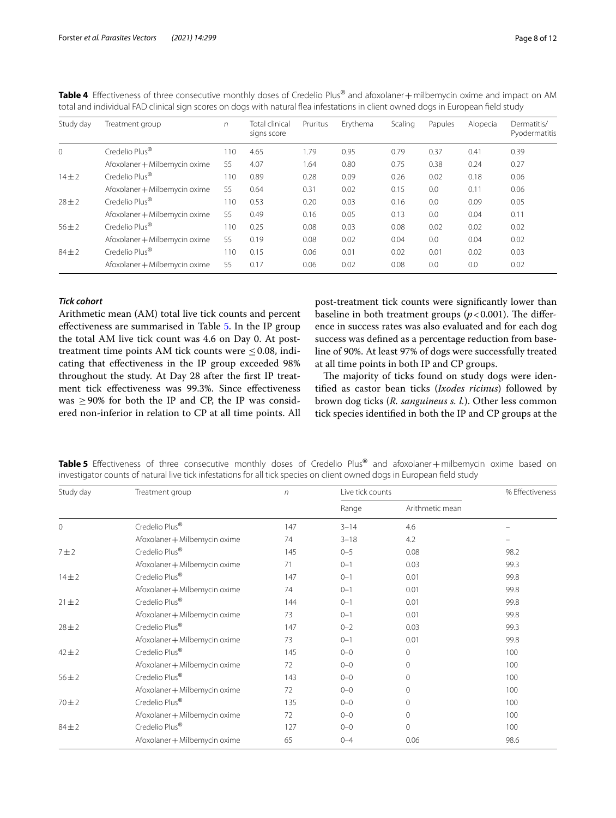| Study day  | Treatment group               | $\sqrt{n}$ | <b>Total clinical</b><br>signs score | Pruritus | Erythema | Scaling | Papules | Alopecia | Dermatitis/<br>Pyodermatitis |
|------------|-------------------------------|------------|--------------------------------------|----------|----------|---------|---------|----------|------------------------------|
| $\Omega$   | Credelio Plus <sup>®</sup>    | 110        | 4.65                                 | 1.79     | 0.95     | 0.79    | 0.37    | 0.41     | 0.39                         |
|            | Afoxolaner + Milbemycin oxime | 55         | 4.07                                 | 1.64     | 0.80     | 0.75    | 0.38    | 0.24     | 0.27                         |
| $14 + 2$   | Credelio Plus <sup>®</sup>    | 110        | 0.89                                 | 0.28     | 0.09     | 0.26    | 0.02    | 0.18     | 0.06                         |
|            | Afoxolaner + Milbemycin oxime | 55         | 0.64                                 | 0.31     | 0.02     | 0.15    | 0.0     | 0.11     | 0.06                         |
| $28 \pm 2$ | Credelio Plus <sup>®</sup>    | 110        | 0.53                                 | 0.20     | 0.03     | 0.16    | 0.0     | 0.09     | 0.05                         |
|            | Afoxolaner + Milbemycin oxime | 55         | 0.49                                 | 0.16     | 0.05     | 0.13    | 0.0     | 0.04     | 0.11                         |
| $56 \pm 2$ | Credelio Plus <sup>®</sup>    | 110        | 0.25                                 | 0.08     | 0.03     | 0.08    | 0.02    | 0.02     | 0.02                         |
|            | Afoxolaner + Milbemycin oxime | 55         | 0.19                                 | 0.08     | 0.02     | 0.04    | 0.0     | 0.04     | 0.02                         |
| $84 \pm 2$ | Credelio Plus <sup>®</sup>    | 110        | 0.15                                 | 0.06     | 0.01     | 0.02    | 0.01    | 0.02     | 0.03                         |
|            | Afoxolaner + Milbemycin oxime | 55         | 0.17                                 | 0.06     | 0.02     | 0.08    | 0.0     | 0.0      | 0.02                         |

<span id="page-7-0"></span>**Table <sup>4</sup>** Efectiveness of three consecutive monthly doses of Credelio Plus® and afoxolaner+milbemycin oxime and impact on AM total and individual FAD clinical sign scores on dogs with natural fea infestations in client owned dogs in European feld study

## *Tick cohort*

Arithmetic mean (AM) total live tick counts and percent efectiveness are summarised in Table [5](#page-7-1). In the IP group the total AM live tick count was 4.6 on Day 0. At posttreatment time points AM tick counts were  $\leq$  0.08, indicating that efectiveness in the IP group exceeded 98% throughout the study. At Day 28 after the frst IP treatment tick efectiveness was 99.3%. Since efectiveness was  $>90\%$  for both the IP and CP, the IP was considered non-inferior in relation to CP at all time points. All post-treatment tick counts were signifcantly lower than baseline in both treatment groups  $(p < 0.001)$ . The difference in success rates was also evaluated and for each dog success was defned as a percentage reduction from baseline of 90%. At least 97% of dogs were successfully treated at all time points in both IP and CP groups.

The majority of ticks found on study dogs were identifed as castor bean ticks (*Ixodes ricinus*) followed by brown dog ticks (*R. sanguineus s. l.*). Other less common tick species identifed in both the IP and CP groups at the

<span id="page-7-1"></span>

|  |  |  |  |  | Table 5 Effectiveness of three consecutive monthly doses of Credelio Plus <sup>®</sup> and afoxolaner+milbemycin oxime based on |  |  |
|--|--|--|--|--|---------------------------------------------------------------------------------------------------------------------------------|--|--|
|  |  |  |  |  | investigator counts of natural live tick infestations for all tick species on client owned dogs in European field study         |  |  |

| Study day  | Treatment group               | $\sqrt{n}$ | Live tick counts | % Effectiveness |      |
|------------|-------------------------------|------------|------------------|-----------------|------|
|            |                               |            | Range            | Arithmetic mean |      |
| 0          | Credelio Plus®                | 147        | $3 - 14$         | 4.6             |      |
|            | Afoxolaner + Milbemycin oxime | 74         | $3 - 18$         | 4.2             |      |
| 7 ± 2      | Credelio Plus®                | 145        | $0 - 5$          | 0.08            | 98.2 |
|            | Afoxolaner + Milbemycin oxime | 71         | $0 - 1$          | 0.03            | 99.3 |
| $14 + 2$   | Credelio Plus <sup>®</sup>    | 147        | $0 - 1$          | 0.01            | 99.8 |
|            | Afoxolaner + Milbemycin oxime | 74         | $() - 1$         | 0.01            | 99.8 |
| $21 \pm 2$ | Credelio Plus <sup>®</sup>    | 144        | $() - 1$         | 0.01            | 99.8 |
|            | Afoxolaner + Milbemycin oxime | 73         | $() - 1$         | 0.01            | 99.8 |
| $28 + 2$   | Credelio Plus <sup>®</sup>    | 147        | $0 - 2$          | 0.03            | 99.3 |
|            | Afoxolaner + Milbemycin oxime | 73         | $() - 1$         | 0.01            | 99.8 |
| $42 + 2$   | Credelio Plus <sup>®</sup>    | 145        | $0 - 0$          | $\mathbf{0}$    | 100  |
|            | Afoxolaner + Milbemycin oxime | 72         | $0 - 0$          | $\mathbf{0}$    | 100  |
| $56 \pm 2$ | Credelio Plus <sup>®</sup>    | 143        | $0 - 0$          | $\mathbf{0}$    | 100  |
|            | Afoxolaner + Milbemycin oxime | 72         | $0 - 0$          | $\mathbf{0}$    | 100  |
| $70 + 2$   | Credelio Plus <sup>®</sup>    | 135        | $0 - 0$          | $\mathbf 0$     | 100  |
|            | Afoxolaner + Milbemycin oxime | 72         | $0 - 0$          | $\Omega$        | 100  |
| $84 \pm 2$ | Credelio Plus®                | 127        | $0 - 0$          | $\mathbf{0}$    | 100  |
|            | Afoxolaner + Milbemycin oxime | 65         | $0 - 4$          | 0.06            | 98.6 |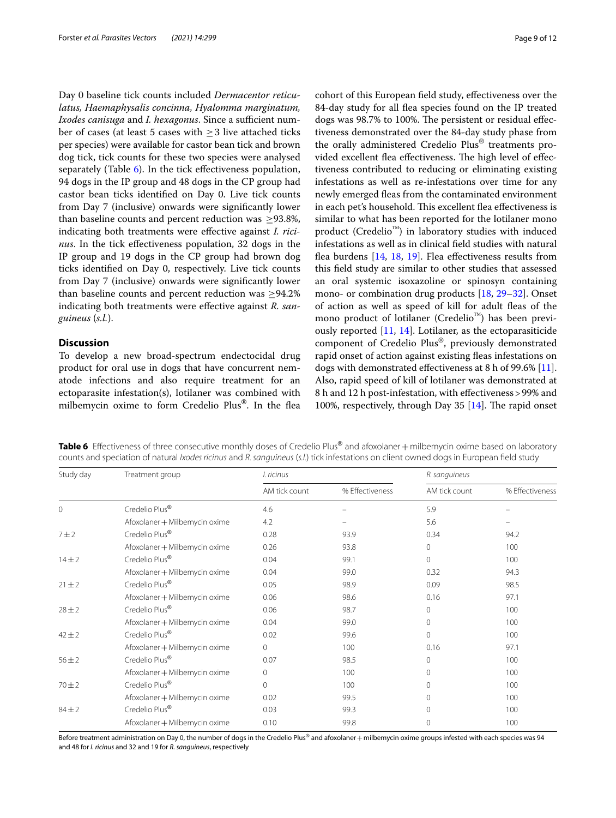Day 0 baseline tick counts included *Dermacentor reticulatus, Haemaphysalis concinna, Hyalomma marginatum, Ixodes canisuga* and *I. hexagonus*. Since a sufficient number of cases (at least 5 cases with  $\geq$  3 live attached ticks per species) were available for castor bean tick and brown dog tick, tick counts for these two species were analysed separately (Table [6](#page-8-0)). In the tick effectiveness population, 94 dogs in the IP group and 48 dogs in the CP group had castor bean ticks identifed on Day 0. Live tick counts from Day 7 (inclusive) onwards were signifcantly lower than baseline counts and percent reduction was  $\geq$ 93.8%, indicating both treatments were efective against *I. ricinus*. In the tick effectiveness population, 32 dogs in the IP group and 19 dogs in the CP group had brown dog ticks identifed on Day 0, respectively. Live tick counts from Day 7 (inclusive) onwards were signifcantly lower than baseline counts and percent reduction was  $\geq$ 94.2% indicating both treatments were efective against *R. sanguineus* (*s.l.*).

# **Discussion**

To develop a new broad-spectrum endectocidal drug product for oral use in dogs that have concurrent nematode infections and also require treatment for an ectoparasite infestation(s), lotilaner was combined with milbemycin oxime to form Credelio Plus®. In the fea cohort of this European feld study, efectiveness over the 84-day study for all fea species found on the IP treated dogs was 98.7% to 100%. The persistent or residual effectiveness demonstrated over the 84-day study phase from the orally administered Credelio Plus® treatments provided excellent flea effectiveness. The high level of effectiveness contributed to reducing or eliminating existing infestations as well as re-infestations over time for any newly emerged feas from the contaminated environment in each pet's household. This excellent flea effectiveness is similar to what has been reported for the lotilaner mono product (Credelio™) in laboratory studies with induced infestations as well as in clinical feld studies with natural flea burdens [[14](#page-10-13), [18,](#page-10-14) [19\]](#page-10-15). Flea effectiveness results from this feld study are similar to other studies that assessed an oral systemic isoxazoline or spinosyn containing mono- or combination drug products [\[18](#page-10-14), [29–](#page-11-2)[32\]](#page-11-3). Onset of action as well as speed of kill for adult feas of the mono product of lotilaner (Credelio™) has been previously reported [\[11,](#page-10-10) [14\]](#page-10-13). Lotilaner, as the ectoparasiticide component of Credelio Plus®, previously demonstrated rapid onset of action against existing fleas infestations on dogs with demonstrated efectiveness at 8 h of 99.6% [\[11](#page-10-10)]. Also, rapid speed of kill of lotilaner was demonstrated at 8 h and 12 h post-infestation, with efectiveness>99% and 100%, respectively, through Day 35  $[14]$  $[14]$ . The rapid onset

<span id="page-8-0"></span>Table 6 Effectiveness of three consecutive monthly doses of Credelio Plus® and afoxolaner + milbemycin oxime based on laboratory counts and speciation of natural *Ixodes ricinus* and *R. sanguineus* (*s.l.*) tick infestations on client owned dogs in European feld study

| Treatment group               | I. ricinus    |                 | R. sanguineus |                 |  |
|-------------------------------|---------------|-----------------|---------------|-----------------|--|
|                               | AM tick count | % Effectiveness | AM tick count | % Effectiveness |  |
| Credelio Plus®                | 4.6           |                 | 5.9           | -               |  |
| Afoxolaner + Milbemycin oxime | 4.2           |                 | 5.6           |                 |  |
| Credelio Plus®                | 0.28          | 93.9            | 0.34          | 94.2            |  |
| Afoxolaner + Milbemycin oxime | 0.26          | 93.8            | $\Omega$      | 100             |  |
| Credelio Plus <sup>®</sup>    | 0.04          | 99.1            | $\Omega$      | 100             |  |
| Afoxolaner + Milbemycin oxime | 0.04          | 99.0            | 0.32          | 94.3            |  |
| Credelio Plus <sup>®</sup>    | 0.05          | 98.9            | 0.09          | 98.5            |  |
| Afoxolaner + Milbemycin oxime | 0.06          | 98.6            | 0.16          | 97.1            |  |
| Credelio Plus®                | 0.06          | 98.7            | $\Omega$      | 100             |  |
| Afoxolaner + Milbemycin oxime | 0.04          | 99.0            | $\Omega$      | 100             |  |
| Credelio Plus®                | 0.02          | 99.6            | $\mathbf 0$   | 100             |  |
| Afoxolaner + Milbemycin oxime | 0             | 100             | 0.16          | 97.1            |  |
| Credelio Plus®                | 0.07          | 98.5            | $\Omega$      | 100             |  |
| Afoxolaner + Milbemycin oxime | 0             | 100             | $\Omega$      | 100             |  |
| Credelio Plus <sup>®</sup>    | 0             | 100             | $\Omega$      | 100             |  |
| Afoxolaner + Milbemycin oxime | 0.02          | 99.5            | $\Omega$      | 100             |  |
| Credelio Plus®                | 0.03          | 99.3            | $\Omega$      | 100             |  |
| Afoxolaner + Milbemycin oxime | 0.10          | 99.8            | 0             | 100             |  |
|                               |               |                 |               |                 |  |

Before treatment administration on Day 0, the number of dogs in the Credelio Plus® and afoxolaner + milbemycin oxime groups infested with each species was 94 and 48 for *I. ricinus* and 32 and 19 for *R. sanguineus*, respectively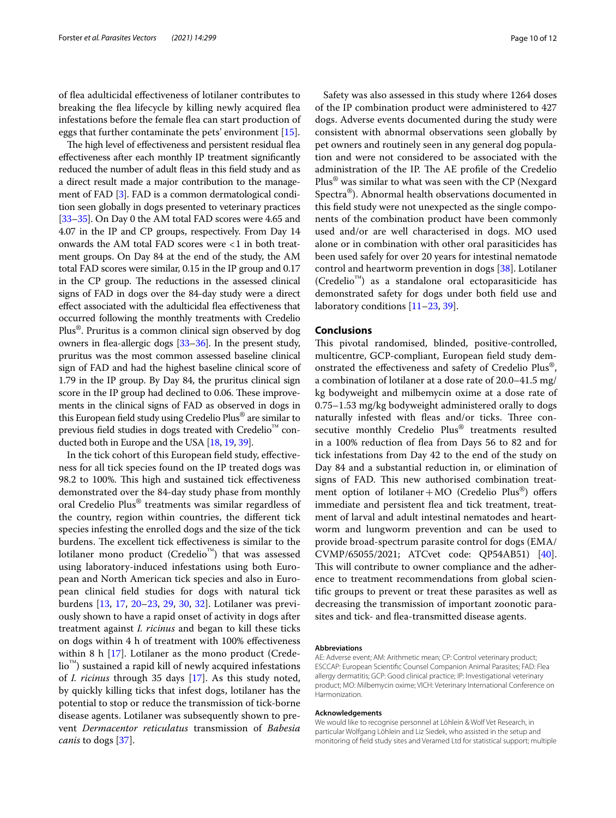of fea adulticidal efectiveness of lotilaner contributes to breaking the fea lifecycle by killing newly acquired fea infestations before the female fea can start production of eggs that further contaminate the pets' environment [[15\]](#page-10-16).

The high level of effectiveness and persistent residual flea efectiveness after each monthly IP treatment signifcantly reduced the number of adult fleas in this field study and as a direct result made a major contribution to the management of FAD [[3\]](#page-10-2). FAD is a common dermatological condition seen globally in dogs presented to veterinary practices [[33](#page-11-4)[–35\]](#page-11-5). On Day 0 the AM total FAD scores were 4.65 and 4.07 in the IP and CP groups, respectively. From Day 14 onwards the AM total FAD scores were <1 in both treatment groups. On Day 84 at the end of the study, the AM total FAD scores were similar, 0.15 in the IP group and 0.17 in the CP group. The reductions in the assessed clinical signs of FAD in dogs over the 84-day study were a direct efect associated with the adulticidal fea efectiveness that occurred following the monthly treatments with Credelio Plus®. Pruritus is a common clinical sign observed by dog owners in fea-allergic dogs [[33](#page-11-4)[–36\]](#page-11-6). In the present study, pruritus was the most common assessed baseline clinical sign of FAD and had the highest baseline clinical score of 1.79 in the IP group. By Day 84, the pruritus clinical sign score in the IP group had declined to 0.06. These improvements in the clinical signs of FAD as observed in dogs in this European feld study using Credelio Plus® are similar to previous feld studies in dogs treated with Credelio™ conducted both in Europe and the USA [\[18](#page-10-14), [19](#page-10-15), [39](#page-11-7)].

In the tick cohort of this European feld study, efectiveness for all tick species found on the IP treated dogs was 98.2 to 100%. This high and sustained tick effectiveness demonstrated over the 84-day study phase from monthly oral Credelio Plus® treatments was similar regardless of the country, region within countries, the diferent tick species infesting the enrolled dogs and the size of the tick burdens. The excellent tick effectiveness is similar to the lotilaner mono product (Credelio™) that was assessed using laboratory-induced infestations using both European and North American tick species and also in European clinical feld studies for dogs with natural tick burdens [\[13](#page-10-17), [17](#page-10-18), [20–](#page-10-19)[23](#page-10-11), [29,](#page-11-2) [30,](#page-11-8) [32](#page-11-3)]. Lotilaner was previously shown to have a rapid onset of activity in dogs after treatment against *I. ricinus* and began to kill these ticks on dogs within 4 h of treatment with 100% efectiveness within 8  $h$  [\[17](#page-10-18)]. Lotilaner as the mono product (Credelio™) sustained a rapid kill of newly acquired infestations of *I. ricinus* through 35 days [[17](#page-10-18)]. As this study noted, by quickly killing ticks that infest dogs, lotilaner has the potential to stop or reduce the transmission of tick-borne disease agents. Lotilaner was subsequently shown to prevent *Dermacentor reticulatus* transmission of *Babesia canis* to dogs [\[37\]](#page-11-9).

Safety was also assessed in this study where 1264 doses of the IP combination product were administered to 427 dogs. Adverse events documented during the study were consistent with abnormal observations seen globally by pet owners and routinely seen in any general dog population and were not considered to be associated with the administration of the IP. The AE profile of the Credelio Plus® was similar to what was seen with the CP (Nexgard Spectra®). Abnormal health observations documented in this feld study were not unexpected as the single components of the combination product have been commonly used and/or are well characterised in dogs. MO used alone or in combination with other oral parasiticides has been used safely for over 20 years for intestinal nematode control and heartworm prevention in dogs [[38\]](#page-11-10). Lotilaner (Credelio™) as a standalone oral ectoparasiticide has demonstrated safety for dogs under both feld use and laboratory conditions [\[11–](#page-10-10)[23,](#page-10-11) [39](#page-11-7)].

### **Conclusions**

This pivotal randomised, blinded, positive-controlled, multicentre, GCP-compliant, European feld study demonstrated the efectiveness and safety of Credelio Plus®, a combination of lotilaner at a dose rate of 20.0–41.5 mg/ kg bodyweight and milbemycin oxime at a dose rate of 0.75–1.53 mg/kg bodyweight administered orally to dogs naturally infested with fleas and/or ticks. Three consecutive monthly Credelio Plus® treatments resulted in a 100% reduction of fea from Days 56 to 82 and for tick infestations from Day 42 to the end of the study on Day 84 and a substantial reduction in, or elimination of signs of FAD. This new authorised combination treatment option of lotilaner + MO (Credelio Plus<sup>®</sup>) offers immediate and persistent flea and tick treatment, treatment of larval and adult intestinal nematodes and heartworm and lungworm prevention and can be used to provide broad-spectrum parasite control for dogs (EMA/ CVMP/65055/2021; ATCvet code: QP54AB51) [\[40](#page-11-11)]. This will contribute to owner compliance and the adherence to treatment recommendations from global scientifc groups to prevent or treat these parasites as well as decreasing the transmission of important zoonotic parasites and tick- and fea-transmitted disease agents.

#### **Abbreviations**

AE: Adverse event; AM: Arithmetic mean; CP: Control veterinary product; ESCCAP: European Scientifc Counsel Companion Animal Parasites; FAD: Flea allergy dermatitis; GCP: Good clinical practice; IP: Investigational veterinary product; MO: Milbemycin oxime; VICH: Veterinary International Conference on Harmonization.

#### **Acknowledgements**

We would like to recognise personnel at Löhlein & Wolf Vet Research, in particular Wolfgang Löhlein and Liz Siedek, who assisted in the setup and monitoring of feld study sites and Veramed Ltd for statistical support; multiple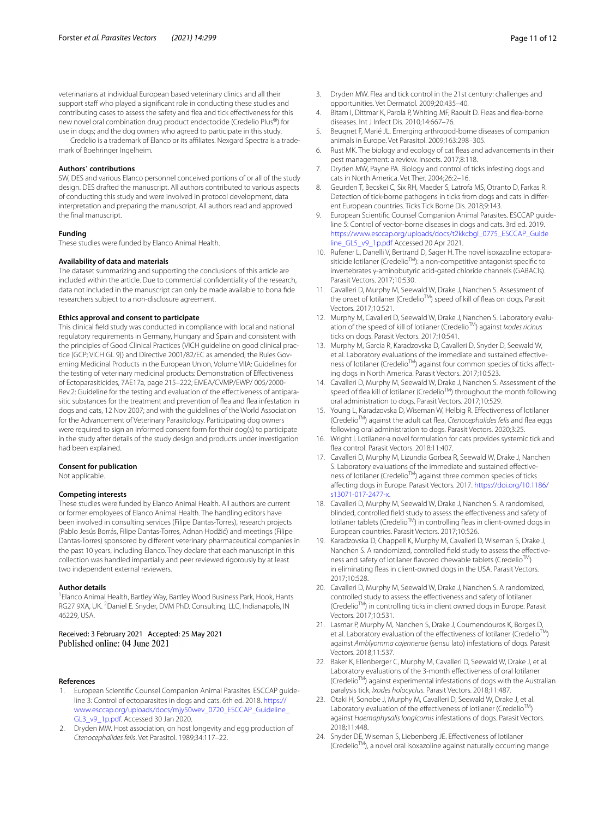veterinarians at individual European based veterinary clinics and all their support staff who played a significant role in conducting these studies and contributing cases to assess the safety and fea and tick efectiveness for this new novel oral combination drug product endectocide (Credelio Plus®) for use in dogs; and the dog owners who agreed to participate in this study.

Credelio is a trademark of Elanco or its affiliates. Nexgard Spectra is a trademark of Boehringer Ingelheim.

#### **Authors**' **contributions**

SW, DES and various Elanco personnel conceived portions of or all of the study design. DES drafted the manuscript. All authors contributed to various aspects of conducting this study and were involved in protocol development, data interpretation and preparing the manuscript. All authors read and approved the fnal manuscript.

#### **Funding**

These studies were funded by Elanco Animal Health.

#### **Availability of data and materials**

The dataset summarizing and supporting the conclusions of this article are included within the article. Due to commercial confdentiality of the research, data not included in the manuscript can only be made available to bona fde researchers subject to a non-disclosure agreement.

#### **Ethics approval and consent to participate**

This clinical feld study was conducted in compliance with local and national regulatory requirements in Germany, Hungary and Spain and consistent with the principles of Good Clinical Practices (VICH guideline on good clinical practice [GCP; VICH GL 9]) and Directive 2001/82/EC as amended; the Rules Governing Medicinal Products in the European Union, Volume VIIA: Guidelines for the testing of veterinary medicinal products: Demonstration of Efectiveness of Ectoparasiticides, 7AE17a, page 215–222; EMEA/CVMP/EWP/ 005/2000- Rev.2: Guideline for the testing and evaluation of the efectiveness of antiparasitic substances for the treatment and prevention of flea and flea infestation in dogs and cats, 12 Nov 2007; and with the guidelines of the World Association for the Advancement of Veterinary Parasitology. Participating dog owners were required to sign an informed consent form for their dog(s) to participate in the study after details of the study design and products under investigation had been explained.

#### **Consent for publication**

Not applicable.

#### **Competing interests**

These studies were funded by Elanco Animal Health. All authors are current or former employees of Elanco Animal Health. The handling editors have been involved in consulting services (Filipe Dantas-Torres), research projects (Pablo Jesús Borrás, Filipe Dantas-Torres, Adnan Hodžić) and meetings (Filipe Dantas-Torres) sponsored by diferent veterinary pharmaceutical companies in the past 10 years, including Elanco. They declare that each manuscript in this collection was handled impartially and peer reviewed rigorously by at least two independent external reviewers.

#### **Author details**

<sup>1</sup> Elanco Animal Health, Bartley Way, Bartley Wood Business Park, Hook, Hants RG27 9XA, UK. <sup>2</sup> Daniel E. Snyder, DVM PhD. Consulting, LLC, Indianapolis, IN 46229, USA.

Received: 3 February 2021 Accepted: 25 May 2021<br>Published online: 04 June 2021

### **References**

- <span id="page-10-0"></span>1. European Scientifc Counsel Companion Animal Parasites. ESCCAP guideline 3: Control of ectoparasites in dogs and cats. 6th ed. 2018. [https://](https://www.esccap.org/uploads/docs/mjy50wev_0720_ESCCAP_Guideline_GL3_v9_1p.pdf) [www.esccap.org/uploads/docs/mjy50wev\\_0720\\_ESCCAP\\_Guideline\\_](https://www.esccap.org/uploads/docs/mjy50wev_0720_ESCCAP_Guideline_GL3_v9_1p.pdf) [GL3\\_v9\\_1p.pdf.](https://www.esccap.org/uploads/docs/mjy50wev_0720_ESCCAP_Guideline_GL3_v9_1p.pdf) Accessed 30 Jan 2020.
- <span id="page-10-1"></span>2. Dryden MW. Host association, on host longevity and egg production of *Ctenocephalides felis*. Vet Parasitol. 1989;34:117–22.
- <span id="page-10-2"></span>3. Dryden MW. Flea and tick control in the 21st century: challenges and opportunities. Vet Dermatol. 2009;20:435–40.
- <span id="page-10-3"></span>4. Bitam I, Dittmar K, Parola P, Whiting MF, Raoult D. Fleas and fea-borne diseases. Int J Infect Dis. 2010;14:667–76.
- <span id="page-10-4"></span>5. Beugnet F, Marié JL. Emerging arthropod-borne diseases of companion animals in Europe. Vet Parasitol. 2009;163:298–305.
- <span id="page-10-5"></span>6. Rust MK. The biology and ecology of cat feas and advancements in their pest management: a review. Insects. 2017;8:118.
- <span id="page-10-6"></span>Dryden MW, Payne PA. Biology and control of ticks infesting dogs and cats in North America. Vet Ther. 2004;26:2–16.
- <span id="page-10-7"></span>8. Geurden T, Becskei C, Six RH, Maeder S, Latrofa MS, Otranto D, Farkas R. Detection of tick-borne pathogens in ticks from dogs and cats in diferent European countries. Ticks Tick Borne Dis. 2018;9:143.
- <span id="page-10-8"></span>European Scientific Counsel Companion Animal Parasites. ESCCAP guideline 5: Control of vector-borne diseases in dogs and cats. 3rd ed. 2019. [https://www.esccap.org/uploads/docs/t2kkcbgl\\_0775\\_ESCCAP\\_Guide](https://www.esccap.org/uploads/docs/t2kkcbgl_0775_ESCCAP_Guideline_GL5_v9_1p.pdf) [line\\_GL5\\_v9\\_1p.pdf](https://www.esccap.org/uploads/docs/t2kkcbgl_0775_ESCCAP_Guideline_GL5_v9_1p.pdf) Accessed 20 Apr 2021.
- <span id="page-10-9"></span>10. Rufener L, Danelli V, Bertrand D, Sager H. The novel isoxazoline ectoparasiticide lotilaner (Credelio<sup>TM</sup>): a non-competitive antagonist specific to invertebrates γ-aminobutyric acid-gated chloride channels (GABACls). Parasit Vectors. 2017;10:530.
- <span id="page-10-10"></span>11. Cavalleri D, Murphy M, Seewald W, Drake J, Nanchen S. Assessment of the onset of lotilaner (Credelio™) speed of kill of fleas on dogs. Parasit Vectors. 2017;10:521.
- 12. Murphy M, Cavalleri D, Seewald W, Drake J, Nanchen S. Laboratory evaluation of the speed of kill of lotilaner (CredelioTM) against *Ixodes ricinus* ticks on dogs. Parasit Vectors. 2017;10:541.
- <span id="page-10-17"></span>13. Murphy M, Garcia R, Karadzovska D, Cavalleri D, Snyder D, Seewald W, et al. Laboratory evaluations of the immediate and sustained efectiveness of lotilaner (Credelio™) against four common species of ticks affecting dogs in North America. Parasit Vectors. 2017;10:523.
- <span id="page-10-13"></span>14. Cavalleri D, Murphy M, Seewald W, Drake J, Nanchen S. Assessment of the speed of flea kill of lotilaner (Credelio<sup>TM</sup>) throughout the month following oral administration to dogs. Parasit Vectors. 2017;10:529.
- <span id="page-10-16"></span>15. Young L, Karadzovska D, Wiseman W, Helbig R. Efectiveness of lotilaner (CredelioTM) against the adult cat fea, *Ctenocephalides felis* and fea eggs following oral administration to dogs. Parasit Vectors. 2020;3:25.
- 16. Wright I. Lotilaner-a novel formulation for cats provides systemic tick and fea control. Parasit Vectors. 2018;11:407.
- <span id="page-10-18"></span>17. Cavalleri D, Murphy M, Lizundia Gorbea R, Seewald W, Drake J, Nanchen S. Laboratory evaluations of the immediate and sustained efectiveness of lotilaner (Credelio<sup>TM</sup>) against three common species of ticks afecting dogs in Europe. Parasit Vectors. 2017. [https://doi.org/10.1186/](https://doi.org/10.1186/s13071-017-2477-x) [s13071-017-2477-x](https://doi.org/10.1186/s13071-017-2477-x).
- <span id="page-10-14"></span>18. Cavalleri D, Murphy M, Seewald W, Drake J, Nanchen S. A randomised, blinded, controlled feld study to assess the efectiveness and safety of lotilaner tablets (Credelio™) in controlling fleas in client-owned dogs in European countries. Parasit Vectors. 2017;10:526.
- <span id="page-10-15"></span>19. Karadzovska D, Chappell K, Murphy M, Cavalleri D, Wiseman S, Drake J, Nanchen S. A randomized, controlled field study to assess the effectiveness and safety of lotilaner flavored chewable tablets (Credelio™) in eliminating feas in client-owned dogs in the USA. Parasit Vectors. 2017;10:528.
- <span id="page-10-19"></span>20. Cavalleri D, Murphy M, Seewald W, Drake J, Nanchen S. A randomized, controlled study to assess the efectiveness and safety of lotilaner (CredelioTM) in controlling ticks in client owned dogs in Europe. Parasit Vectors. 2017;10:531.
- 21. Lasmar P, Murphy M, Nanchen S, Drake J, Coumendouros K, Borges D, et al. Laboratory evaluation of the effectiveness of lotilaner (Credelio<sup>™</sup>) against *Amblyomma cajennense* (sensu lato) infestations of dogs. Parasit Vectors. 2018;11:537.
- 22. Baker K, Ellenberger C, Murphy M, Cavalleri D, Seewald W, Drake J, et al. Laboratory evaluations of the 3-month efectiveness of oral lotilaner (Credelio<sup>TM</sup>) against experimental infestations of dogs with the Australian paralysis tick, *Ixodes holocyclus*. Parasit Vectors. 2018;11:487.
- <span id="page-10-11"></span>23. Otaki H, Sonobe J, Murphy M, Cavalleri D, Seewald W, Drake J, et al. Laboratory evaluation of the effectiveness of lotilaner (Credelio™) against *Haemaphysalis longicornis* infestations of dogs. Parasit Vectors. 2018;11:448.
- <span id="page-10-12"></span>24. Snyder DE, Wiseman S, Liebenberg JE. Efectiveness of lotilaner (CredelioTM), a novel oral isoxazoline against naturally occurring mange